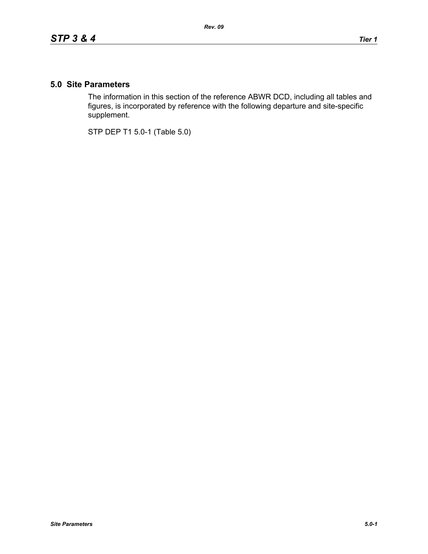## **5.0 Site Parameters**

The information in this section of the reference ABWR DCD, including all tables and figures, is incorporated by reference with the following departure and site-specific supplement.

STP DEP T1 5.0-1 (Table 5.0)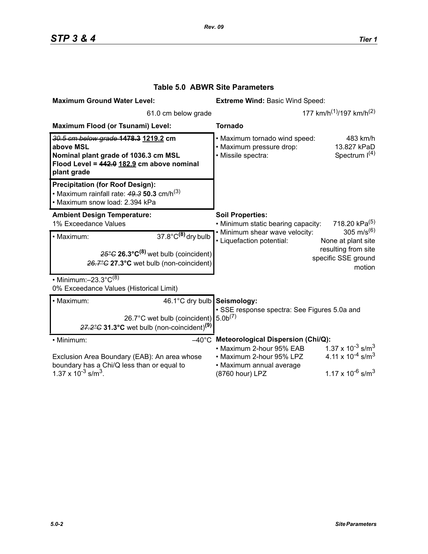| <b>Maximum Ground Water Level:</b>                                                                                                                              | <b>Extreme Wind: Basic Wind Speed:</b>                                                                                                                                                                                                                                               |
|-----------------------------------------------------------------------------------------------------------------------------------------------------------------|--------------------------------------------------------------------------------------------------------------------------------------------------------------------------------------------------------------------------------------------------------------------------------------|
| 61.0 cm below grade                                                                                                                                             | 177 km/h <sup>(1)</sup> /197 km/h <sup>(2)</sup>                                                                                                                                                                                                                                     |
| Maximum Flood (or Tsunami) Level:                                                                                                                               | <b>Tornado</b>                                                                                                                                                                                                                                                                       |
| 30.5 cm below grade 1478.3 1219.2 cm<br>above MSL<br>Nominal plant grade of 1036.3 cm MSL<br>Flood Level = 442.0 182.9 cm above nominal<br>plant grade          | • Maximum tornado wind speed:<br>483 km/h<br>· Maximum pressure drop:<br>13.827 kPaD<br>Spectrum $I(4)$<br>· Missile spectra:                                                                                                                                                        |
| <b>Precipitation (for Roof Design):</b><br>• Maximum rainfall rate: $49.3$ 50.3 cm/h <sup>(3)</sup><br>• Maximum snow load: 2.394 kPa                           |                                                                                                                                                                                                                                                                                      |
| <b>Ambient Design Temperature:</b><br>1% Exceedance Values                                                                                                      | <b>Soil Properties:</b><br>718.20 kPa <sup>(5)</sup><br>• Minimum static bearing capacity:                                                                                                                                                                                           |
| $37.8^{\circ}$ C <sup>(8)</sup> dry bulb<br>· Maximum:<br>$25^{\circ}$ G 26.3°C <sup>(8)</sup> wet bulb (coincident)<br>26.7°C 27.3°C wet bulb (non-coincident) | 305 m/s <sup>(6)</sup><br>• Minimum shear wave velocity:<br>• Liquefaction potential:<br>None at plant site<br>resulting from site<br>specific SSE ground<br>motion                                                                                                                  |
| • Minimum: $-23.3^{\circ}C^{(8)}$<br>0% Exceedance Values (Historical Limit)                                                                                    |                                                                                                                                                                                                                                                                                      |
| · Maximum:<br>46.1°C dry bulb Seismology:<br>26.7°C wet bulb (coincident)<br>$27.2^{\circ}$ C 31.3°C wet bulb (non-coincident) <sup>(9)</sup>                   | · SSE response spectra: See Figures 5.0a and<br>5.0 <sup>(7)</sup>                                                                                                                                                                                                                   |
| • Minimum:<br>Exclusion Area Boundary (EAB): An area whose<br>boundary has a Chi/Q less than or equal to<br>1.37 x $10^{-3}$ s/m <sup>3</sup> .                 | $-40^{\circ}$ C Meteorological Dispersion (Chi/Q):<br>$1.37 \times 10^{-3}$ s/m <sup>3</sup><br>• Maximum 2-hour 95% EAB<br>4.11 x $10^{-4}$ s/m <sup>3</sup><br>• Maximum 2-hour 95% LPZ<br>• Maximum annual average<br>1.17 x 10 <sup>-6</sup> s/m <sup>3</sup><br>(8760 hour) LPZ |

## **Table 5.0 ABWR Site Parameters**